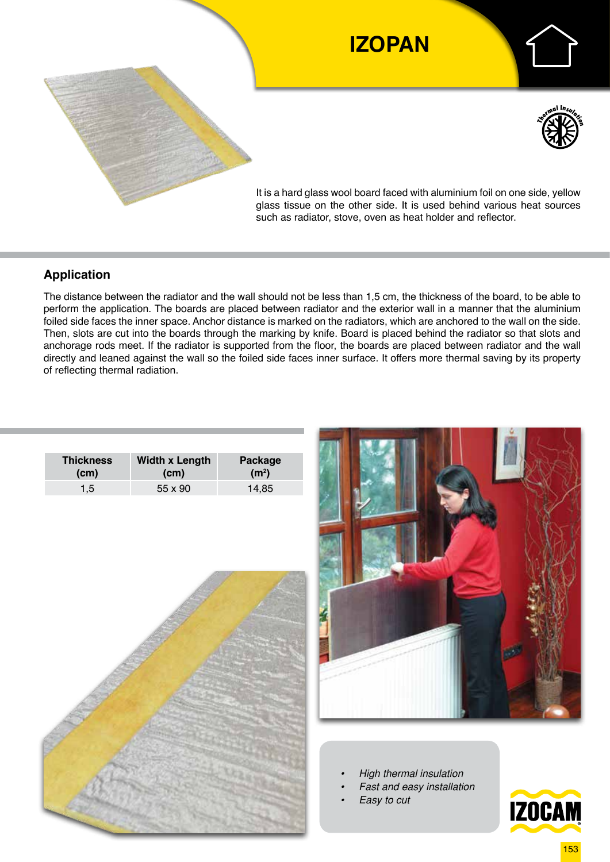

## **Application**

The distance between the radiator and the wall should not be less than 1,5 cm, the thickness of the board, to be able to perform the application. The boards are placed between radiator and the exterior wall in a manner that the aluminium foiled side faces the inner space. Anchor distance is marked on the radiators, which are anchored to the wall on the side. Then, slots are cut into the boards through the marking by knife. Board is placed behind the radiator so that slots and anchorage rods meet. If the radiator is supported from the floor, the boards are placed between radiator and the wall directly and leaned against the wall so the foiled side faces inner surface. It offers more thermal saving by its property of reflecting thermal radiation.

| <b>Thickness</b> | <b>Width x Length</b> | Package           |  |  |
|------------------|-----------------------|-------------------|--|--|
| (cm)             | (c <sub>m</sub> )     | (m <sup>2</sup> ) |  |  |
| $1.5^{\circ}$    | 55 x 90               |                   |  |  |





- *• High thermal insulation*
- *• Fast and easy installation*
- *• Easy to cut*